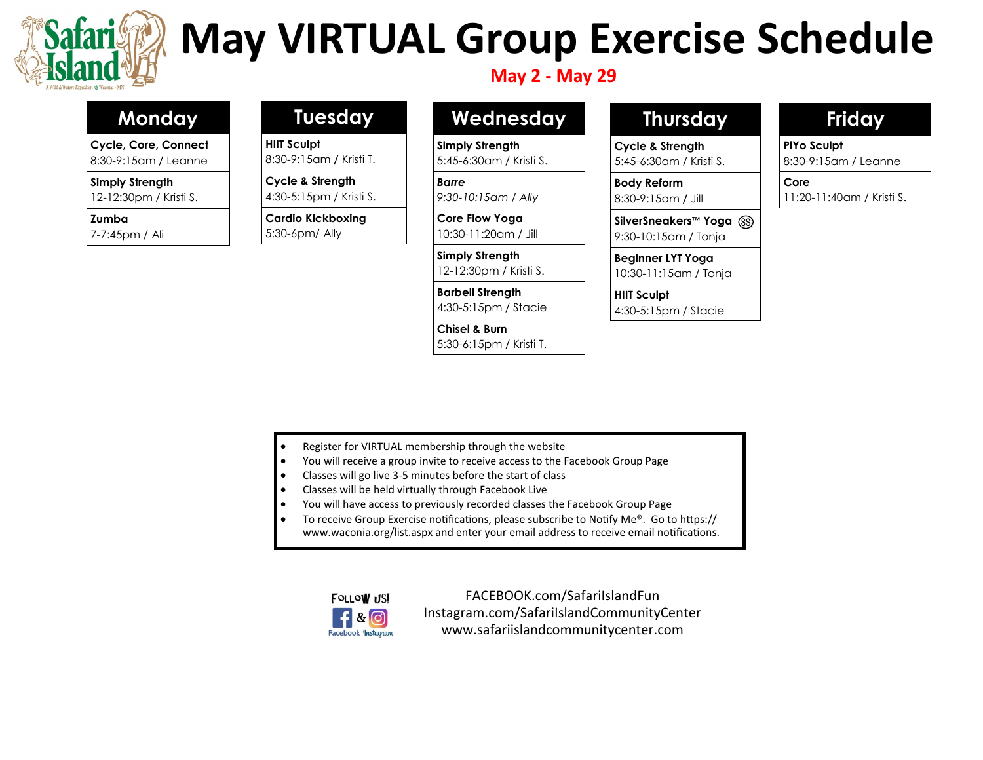

# **May VIRTUAL Group Exercise Schedule**

## **May 2 - May 29**

# **Monday**

**Cycle, Core, Connect** 8:30-9:15am / Leanne

**Simply Strength**

12-12:30pm / Kristi S.

**Zumba**

7-7:45pm / Ali

## **Tuesday**

**HIIT Sculpt** 8:30-9:15am **/** Kristi T.

**Cycle & Strength**

4:30-5:15pm / Kristi S.

**Cardio Kickboxing**  5:30-6pm/ Ally

# **Wednesday**

**Simply Strength** 5:45-6:30am / Kristi S.

*Barre 9:30-10:15am / Ally*

**Core Flow Yoga** 10:30-11:20am / Jill

**Simply Strength** 12-12:30pm / Kristi S.

**Barbell Strength**  4:30-5:15pm / Stacie

**Chisel & Burn**  5:30-6:15pm / Kristi T.

# **Thursday**

**Cycle & Strength** 5:45-6:30am / Kristi S.

**Body Reform** 8:30-9:15am **/** Jill

**SilverSneakers**™ **Yoga** 9:30-10:15am / Tonja

**Beginner LYT Yoga** 10:30-11:15am / Tonja

**HIIT Sculpt**  4:30-5:15pm / Stacie

# **Friday**

**PiYo Sculpt** 8:30-9:15am / Leanne

**Core**

11:20-11:40am / Kristi S.

- Register for VIRTUAL membership through the website
- You will receive a group invite to receive access to the Facebook Group Page
- Classes will go live 3-5 minutes before the start of class
- Classes will be held virtually through Facebook Live
- You will have access to previously recorded classes the Facebook Group Page
- To receive Group Exercise notifications, please subscribe to Notify Me®. Go to https:// www.waconia.org/list.aspx and enter your email address to receive email notifications.



FACEBOOK.com/SafariIslandFun Instagram.com/SafariIslandCommunityCenter www.safariislandcommunitycenter.com